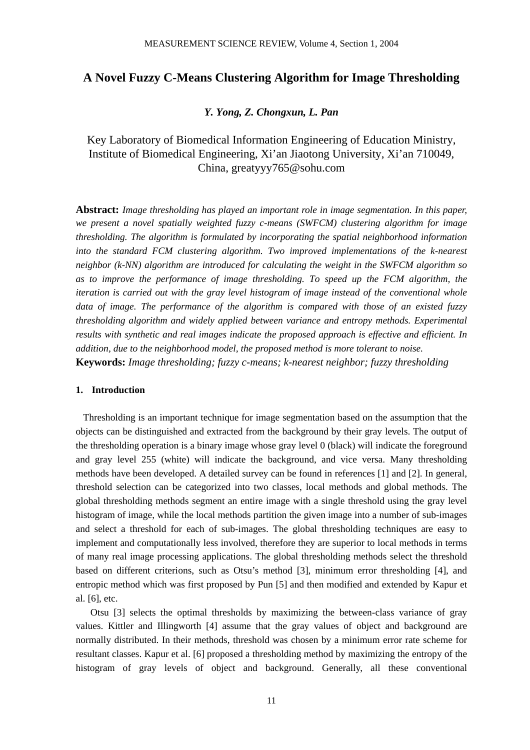# **A Novel Fuzzy C-Means Clustering Algorithm for Image Thresholding**

# *Y. Yong, Z. Chongxun, L. Pan*

Key Laboratory of Biomedical Information Engineering of Education Ministry, Institute of Biomedical Engineering, Xi'an Jiaotong University, Xi'an 710049, China, greatyyy765@sohu.com

**Abstract:** *Image thresholding has played an important role in image segmentation. In this paper, we present a novel spatially weighted fuzzy c-means (SWFCM) clustering algorithm for image thresholding. The algorithm is formulated by incorporating the spatial neighborhood information into the standard FCM clustering algorithm. Two improved implementations of the k-nearest neighbor (k-NN) algorithm are introduced for calculating the weight in the SWFCM algorithm so as to improve the performance of image thresholding. To speed up the FCM algorithm, the iteration is carried out with the gray level histogram of image instead of the conventional whole data of image. The performance of the algorithm is compared with those of an existed fuzzy thresholding algorithm and widely applied between variance and entropy methods. Experimental results with synthetic and real images indicate the proposed approach is effective and efficient. In addition, due to the neighborhood model, the proposed method is more tolerant to noise.*  **Keywords:** *Image thresholding; fuzzy c-means; k-nearest neighbor; fuzzy thresholding* 

## **1. Introduction**

Thresholding is an important technique for image segmentation based on the assumption that the objects can be distinguished and extracted from the background by their gray levels. The output of the thresholding operation is a binary image whose gray level 0 (black) will indicate the foreground and gray level 255 (white) will indicate the background, and vice versa. Many thresholding methods have been developed. A detailed survey can be found in references [1] and [2]. In general, threshold selection can be categorized into two classes, local methods and global methods. The global thresholding methods segment an entire image with a single threshold using the gray level histogram of image, while the local methods partition the given image into a number of sub-images and select a threshold for each of sub-images. The global thresholding techniques are easy to implement and computationally less involved, therefore they are superior to local methods in terms of many real image processing applications. The global thresholding methods select the threshold based on different criterions, such as Otsu's method [3], minimum error thresholding [4], and entropic method which was first proposed by Pun [5] and then modified and extended by Kapur et al. [6], etc.

Otsu [3] selects the optimal thresholds by maximizing the between-class variance of gray values. Kittler and Illingworth [4] assume that the gray values of object and background are normally distributed. In their methods, threshold was chosen by a minimum error rate scheme for resultant classes. Kapur et al. [6] proposed a thresholding method by maximizing the entropy of the histogram of gray levels of object and background. Generally, all these conventional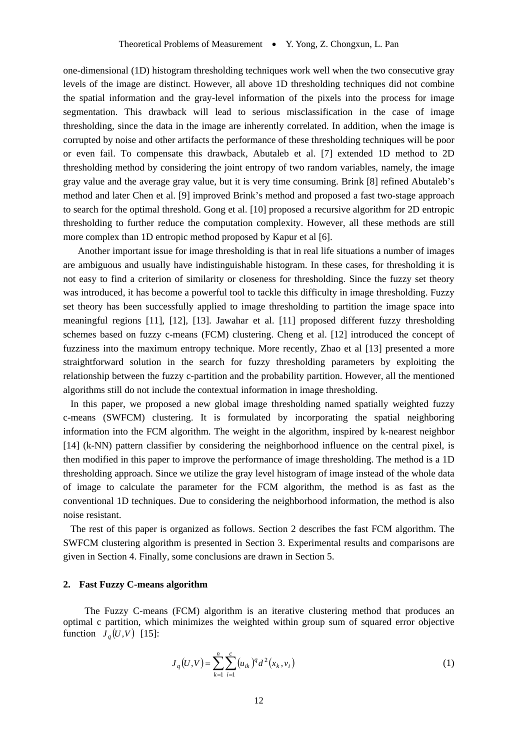one-dimensional (1D) histogram thresholding techniques work well when the two consecutive gray levels of the image are distinct. However, all above 1D thresholding techniques did not combine the spatial information and the gray-level information of the pixels into the process for image segmentation. This drawback will lead to serious misclassification in the case of image thresholding, since the data in the image are inherently correlated. In addition, when the image is corrupted by noise and other artifacts the performance of these thresholding techniques will be poor or even fail. To compensate this drawback, Abutaleb et al. [7] extended 1D method to 2D thresholding method by considering the joint entropy of two random variables, namely, the image gray value and the average gray value, but it is very time consuming. Brink [8] refined Abutaleb's method and later Chen et al. [9] improved Brink's method and proposed a fast two-stage approach to search for the optimal threshold. Gong et al. [10] proposed a recursive algorithm for 2D entropic thresholding to further reduce the computation complexity. However, all these methods are still more complex than 1D entropic method proposed by Kapur et al [6].

A nother important issue for image thresholding is that in real life situations a number of images are ambiguous and usually have indistinguishable histogram. In these cases, for thresholding it is not easy to find a criterion of similarity or closeness for thresholding. Since the fuzzy set theory was introduced, it has become a powerful tool to tackle this difficulty in image thresholding. Fuzzy set theory has been successfully applied to image thresholding to partition the image space into meaningful regions [11], [12], [13]. Jawahar et al. [11] proposed different fuzzy thresholding schemes based on fuzzy c-means (FCM) clustering. Cheng et al. [12] introduced the concept of fuzziness into the maximum entropy technique. More recently, Zhao et al [13] presented a more straightforward solution in the search for fuzzy thresholding parameters by exploiting the relationship between the fuzzy c-partition and the probability partition. However, all the mentioned algorithms still do not include the contextual information in image thresholding.

In this paper, we proposed a new global image thresholding named spatially weighted fuzzy c-means (SWFCM) clustering. It is formulated by incorporating the spatial neighboring information into the FCM algorithm. The weight in the algorithm, inspired by k-nearest neighbor [14] (k-NN) pattern classifier by considering the neighborhood influence on the central pixel, is then modified in this paper to improve the performance of image thresholding. The method is a 1D thresholding approach. Since we utilize the gray level histogram of image instead of the whole data of image to calculate the parameter for the FCM algorithm, the method is as fast as the conventional 1D techniques. Due to considering the neighborhood information, the method is also noise resistant.

The rest of this paper is organized as follows. Section 2 describes the fast FCM algorithm. The SWFCM clustering algorithm is presented in Section 3. Experimental results and comparisons are given in Section 4. Finally, some conclusions are drawn in Section 5.

### **2. Fast Fuzzy C-means algorithm**

function  $J_q(U, V)$  [15]: The Fuzzy C-means (FCM) algorithm is an iterative clustering method that produces an optimal c partition, which minimizes the weighted within group sum of squared error objective

$$
J_q(U, V) = \sum_{k=1}^n \sum_{i=1}^c (u_{ik})^q d^2(x_k, v_i)
$$
 (1)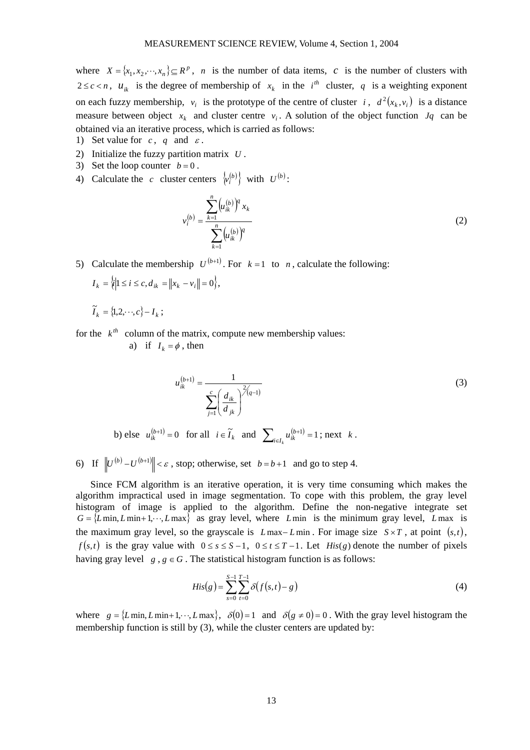where  $X = \{x_1, x_2, \dots, x_n\} \subseteq R^p$ , *n* is the number of data items, *c* is the number of clusters with  $2 \leq c < n$ ,  $u_{ik}$  is the degree of membership of  $x_k$  in the  $i^{th}$  cluster, q is a weighting exponent on each fuzzy membership,  $v_i$  is the prototype of the centre of cluster i,  $d^2(x_k, v_i)$  is a distance measure between object  $x_k$  and cluster centre  $v_i$ . A solution of the object function  $Jq$  can be obtained via an iterative process, which is carried as follows:

- 1) Set value for  $c, q$  and  $\varepsilon$ .
- 2) Initialize the fuzzy partition matrix *U* .
- 3) Set the loop counter  $b = 0$ .
- 4) Calculate the *c* cluster centers  $\{v_i^{(b)}\}$  with  $U^{(b)}$ :

$$
v_i^{(b)} = \frac{\sum_{k=1}^n (u_{ik}^{(b)})^q x_k}{\sum_{k=1}^n (u_{ik}^{(b)})^q}
$$
(2)

5) Calculate the membership  $U^{(b+1)}$ . For  $k = 1$  to *n*, calculate the following:

$$
I_k = \{i \mid 1 \le i \le c, d_{ik} = ||x_k - v_i|| = 0\},\
$$

$$
\widetilde{I}_k = \{1, 2, \cdots, c\} - I_k ;
$$

for the  $k^h$  column of the matrix, compute new membership values:

a) if  $I_k = \phi$ , then

$$
u_{ik}^{(b+1)} = \frac{1}{\sum_{j=1}^{c} \left(\frac{d_{ik}}{d_{jk}}\right)^{2/q-1}}
$$
(3)

else  $u_{ik}^{(b+1)} = 0$  for all  $i \in \tilde{I}_k$  and  $\sum_{i \in I_k} u_{ik}^{(b+1)} = 1$ ; next  $k$ . b) else  $u_{ik}^{(b+1)} = 0$  for all  $i \in \widetilde{I}_k$  and  $\sum_{i \in I} u_{ik}^{(b+1)} = 1$ ; n

6) If  $||U^{(b)} - U^{(b+1)}|| < \varepsilon$ , stop; otherwise, set  $b = b+1$  and go to step 4.

S ince FCM algorithm is an iterative operation, it is very time consuming which makes the  $G = \{L \min, L \min + 1, \dots, L \max\}$  as gray level, where *L*min is the minimum gray level, *L*max is algorithm impractical used in image segmentation. To cope with this problem, the gray level histogram of image is applied to the algorithm. Define the non-negative integrate set the maximum gray level, so the grayscale is  $L$  max− $L$ min. For image size  $S \times T$ , at point  $(s,t)$ ,  $f(s,t)$  is the gray value with  $0 \le s \le S-1$ ,  $0 \le t \le T-1$ . Let His $(g)$  denote the number of pixels having gray level  $g, g \in G$ . The statistical histogram function is as follows:

$$
His(g) = \sum_{s=0}^{S-1} \sum_{t=0}^{T-1} \delta(f(s,t) - g)
$$
\n(4)

where  $g = \{L \min, L \min+1, \dots, L \max\}, \ \delta(0) = 1 \text{ and } \delta(g \neq 0) = 0$ . With the gray level histogram the membership function is still by (3), while the cluster centers are updated by: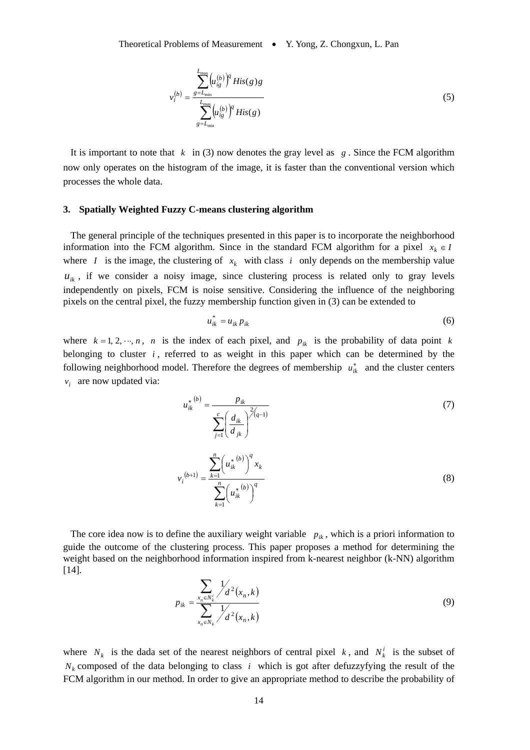$$
v_i^{(b)} = \frac{\sum_{s=L_{\min}}^{L_{\max}} (u_{ig}^{(b)})^q His(g)g}{\sum_{g=L_{\min}}^{L_{\max}} (u_{ig}^{(b)})^q His(g)}
$$
(5)

It is important to note that  $k \in (3)$  now denotes the gray level as  $g$ . Since the FCM algorithm now only operates on the histogram of the image, it is faster than the conventional version which processes the whole data.

#### **3. Spatially Weighted Fuzzy C-means clustering algorithm**

The general principle of the techniques presented in this paper is to incorporate the neighborhood information into the FCM algorithm. Since in the standard FCM algorithm for a pixel  $x_k \in I$ where *I* is the image, the clustering of  $x_k$  with class *i* only depends on the membership value  $u_{ik}$ , if we consider a noisy image, since clustering process is related only to gray levels independently on pixels, FCM is noise sensitive. Considering the influence of the neighboring pixels on the central pixel, the fuzzy membership function given in (3) can be extended to

$$
u_{ik}^* = u_{ik} p_{ik} \tag{6}
$$

where  $k = 1, 2, \dots, n$ , *n* is the index of each pixel, and  $p_{ik}$  is the probability of data point k belonging to cluster  $i$ , referred to as weight in this paper which can be determined by the following neighborhood model. Therefore the degrees of membership  $u_{ik}^*$  and the cluster centers  $v_i$  are now updated via:

$$
u_{ik}^{*(b)} = \frac{p_{ik}}{\sum_{j=1}^{c} \left(\frac{d_{ik}}{d_{jk}}\right)^{2(q-1)}}
$$
(7)  

$$
v_{i}^{(b+1)} = \frac{\sum_{k=1}^{n} \left(u_{ik}^{*(b)}\right)^{q} x_{k}}{\sum_{k=1}^{n} \left(u_{ik}^{*(b)}\right)^{q}}
$$
(8)

The core idea now is to define the auxiliary weight variable  $p_{ik}$ , which is a priori information to guide the outcome of the clustering process. This paper proposes a method for determining the weight based on the neighborhood information inspired from k-nearest neighbor (k-NN) algorithm [14].

$$
p_{ik} = \frac{\sum_{x_n \in N_k} \frac{1}{d} 2(x_n, k)}{\sum_{x_n \in N_k} \frac{1}{d} 2(x_n, k)}
$$
(9)

where  $N_k$  is the dada set of the nearest neighbors of central pixel k, and  $N_k^i$  is the subset of  $N_k$  composed of the data belonging to class i which is got after defuzzyfying the result of the FCM algorithm in our method. In order to give an appropriate method to describe the probability of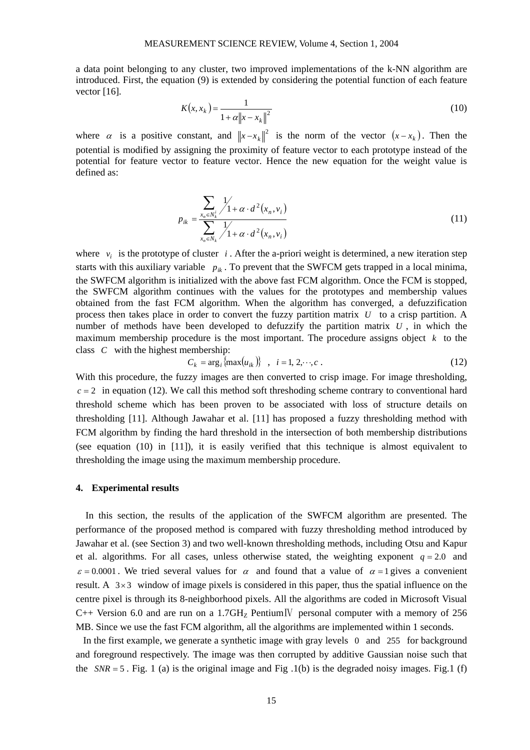a data point belonging to any cluster, two improved implementations of the k-NN algorithm are introduced. First, the equation (9) is extended by considering the potential function of each feature vector [16].

$$
K(x, x_k) = \frac{1}{1 + \alpha \|x - x_k\|^2}
$$
 (10)

where  $\alpha$  is a positive constant, and  $||x-x_k||^2$  is the norm of the vector  $(x-x_k)$ . Then the potential is modified by assigning the proximity of feature vector to each prototype instead of the potential for feature vector to feature vector. Hence the new equation for the weight value is defined as:

$$
p_{ik} = \frac{\sum_{x_n \in N_k^i} \frac{1}{1 + \alpha \cdot d^2(x_n, v_i)}}{\sum_{x_n \in N_k} \frac{1}{1 + \alpha \cdot d^2(x_n, v_i)}}
$$
(11)

where  $v_i$  is the prototype of cluster *i*. After the a-priori weight is determined, a new iteration step starts with this auxiliary variable  $p_{ik}$ . To prevent that the SWFCM gets trapped in a local minima, the SWFCM algorithm is initialized with the above fast FCM algorithm. Once the FCM is stopped, the SWFCM algorithm continues with the values for the prototypes and membership values obtained from the fast FCM algorithm. When the algorithm has converged, a defuzzification process then takes place in order to convert the fuzzy partition matrix  $U$  to a crisp partition. A number of methods have been developed to defuzzify the partition matrix *U* , in which the maximum membership procedure is the most important. The procedure assigns object  $k$  to the class  $C$  with the highest membership:

$$
C_k = \arg_i \{ \max(u_{ik}) \}, \quad i = 1, 2, \cdots, c \tag{12}
$$

With this procedure, the fuzzy images are then converted to crisp image. For image thresholding,  $c = 2$  in equation (12). We call this method soft threshoding scheme contrary to conventional hard threshold scheme which has been proven to be associated with loss of structure details on thresholding [11]. Although Jawahar et al. [11] has proposed a fuzzy thresholding method with FCM algorithm by finding the hard threshold in the intersection of both membership distributions (see equation (10) in [11]), it is easily verified that this technique is almost equivalent to thresholding the image using the maximum membership procedure.

#### **4. Experimental results**

In this section, the results of the application of the SWFCM algorithm are presented. The performance of the proposed method is compared with fuzzy thresholding method introduced by Jawahar et al. (see Section 3) and two well-known thresholding methods, including Otsu and Kapur et al. algorithms. For all cases, unless otherwise stated, the weighting exponent  $q = 2.0$  and  $\varepsilon = 0.0001$ . We tried several values for  $\alpha$  and found that a value of  $\alpha = 1$  gives a convenient result. A  $3\times3$  window of image pixels is considered in this paper, thus the spatial influence on the centre pixel is through its 8-neighborhood pixels. All the algorithms are coded in Microsoft Visual C++ Version 6.0 and are run on a  $1.7 \text{GHz}$  Pentium<sub>IV</sub> personal computer with a memory of 256 MB. Since we use the fast FCM algorithm, all the algorithms are implemented within 1 seconds.

In the first example, we generate a synthetic image with gray levels 0 and 255 for background and foreground respectively. The image was then corrupted by additive Gaussian noise such that the  $SNR = 5$ . Fig. 1 (a) is the original image and Fig. 1(b) is the degraded noisy images. Fig. 1 (f)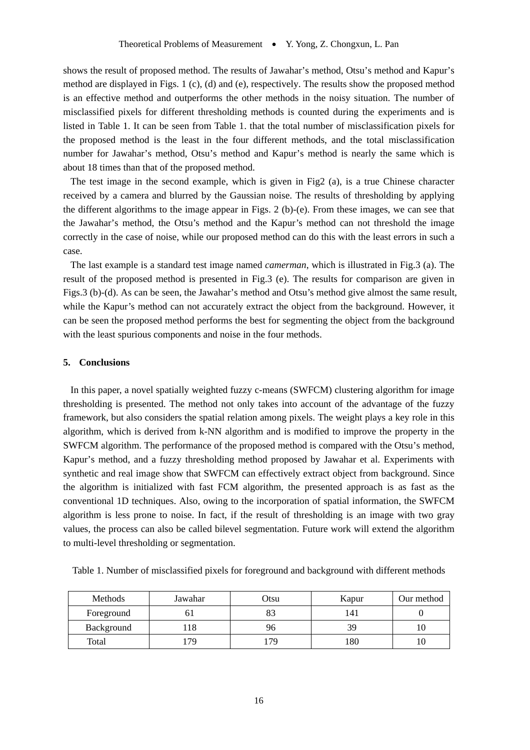shows the result of proposed method. The results of Jawahar's method, Otsu's method and Kapur's method are displayed in Figs. 1 (c), (d) and (e), respectively. The results show the proposed method is an effective method and outperforms the other methods in the noisy situation. The number of misclassified pixels for different thresholding methods is counted during the experiments and is listed in Table 1. It can be seen from Table 1. that the total number of misclassification pixels for the proposed method is the least in the four different methods, and the total misclassification number for Jawahar's method, Otsu's method and Kapur's method is nearly the same which is about 18 times than that of the proposed method.

The test image in the second example, which is given in Fig2 (a), is a true Chinese character received by a camera and blurred by the Gaussian noise. The results of thresholding by applying the different algorithms to the image appear in Figs. 2 (b)-(e). From these images, we can see that the Jawahar's method, the Otsu's method and the Kapur's method can not threshold the image correctly in the case of noise, while our proposed method can do this with the least errors in such a case.

The last example is a standard test image named *camerman*, which is illustrated in Fig.3 (a). The result of the proposed method is presented in Fig.3 (e). The results for comparison are given in Figs.3 (b)-(d). As can be seen, the Jawahar's method and Otsu's method give almost the same result, while the Kapur's method can not accurately extract the object from the background. However, it can be seen the proposed method performs the best for segmenting the object from the background with the least spurious components and noise in the four methods.

#### **5. Conclusions**

In this paper, a novel spatially weighted fuzzy c-means (SWFCM) clustering algorithm for image thresholding is presented. The method not only takes into account of the advantage of the fuzzy framework, but also considers the spatial relation among pixels. The weight plays a key role in this algorithm, which is derived from k-NN algorithm and is modified to improve the property in the SWFCM algorithm. The performance of the proposed method is compared with the Otsu's method, Kapur's method, and a fuzzy thresholding method proposed by Jawahar et al. Experiments with synthetic and real image show that SWFCM can effectively extract object from background. Since the algorithm is initialized with fast FCM algorithm, the presented approach is as fast as the conventional 1D techniques. Also, owing to the incorporation of spatial information, the SWFCM algorithm is less prone to noise. In fact, if the result of thresholding is an image with two gray values, the process can also be called bilevel segmentation. Future work will extend the algorithm to multi-level thresholding or segmentation.

Table 1. Number of misclassified pixels for foreground and background with different methods

| <b>Methods</b> | Jawahar | Otsu | Kapur | Our method |
|----------------|---------|------|-------|------------|
| Foreground     |         |      | '41   |            |
| Background     |         |      | 39    |            |
| Total          | 79      | 79   | 180   |            |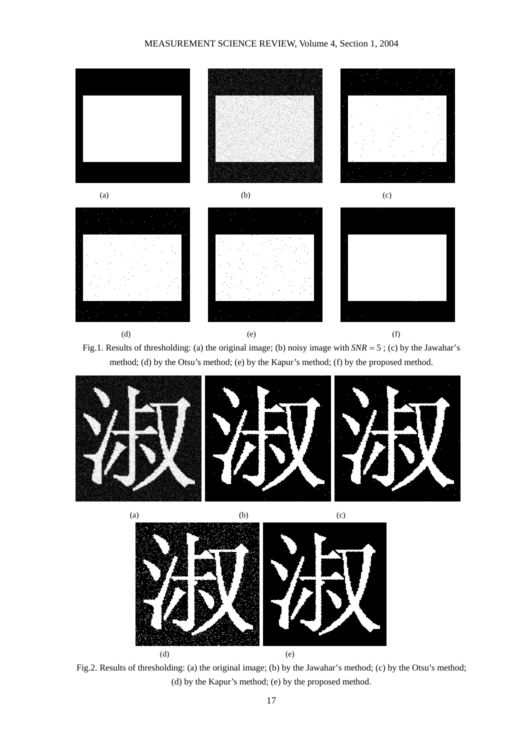## MEASUREMENT SCIENCE REVIEW, Volume 4, Section 1, 2004



Fig.1. Results of thresholding: (a) the original image; (b) noisy image with *SNR* = 5 ; (c) by the Jawahar's method; (d) by the Otsu's method; (e) by the Kapur's method; (f) by the proposed method.





Fig.2. Results of thresholding: (a) the original image; (b) by the Jawahar's method; (c) by the Otsu's method; (d) by the Kapur's method; (e) by the proposed method.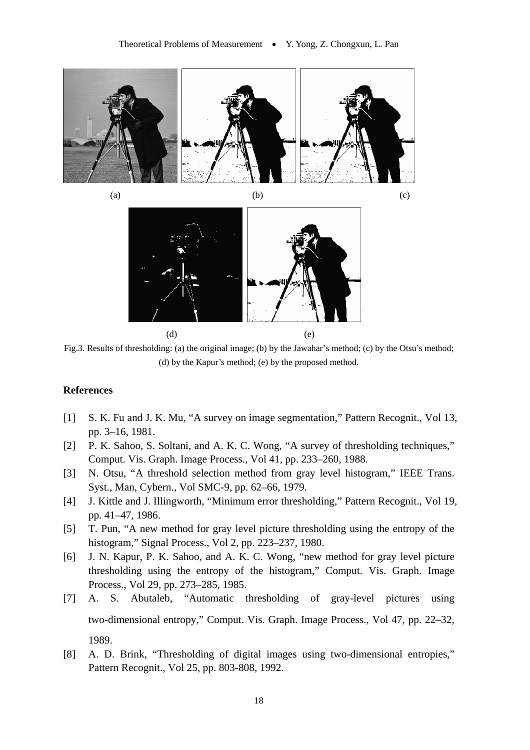

(d) (e)

Fig.3. Results of thresholding: (a) the original image; (b) by the Jawahar's method; (c) by the Otsu's method; (d) by the Kapur's method; (e) by the proposed method.

# **References**

- [1] S. K. Fu and J. K. Mu, "A survey on image segmentation," Pattern Recognit., Vol 13, pp. 3–16, 1981.
- [2] P. K. Sahoo, S. Soltani, and A. K. C. Wong, "A survey of thresholding techniques," Comput. Vis. Graph. Image Process., Vol 41, pp. 233–260, 1988.
- [3] N. Otsu, "A threshold selection method from gray level histogram," IEEE Trans. Syst., Man, Cybern., Vol SMC-9, pp. 62–66, 1979.
- [4] J. Kittle and J. Illingworth, "Minimum error thresholding," Pattern Recognit., Vol 19, pp. 41–47, 1986.
- [5] T. Pun, "A new method for gray level picture thresholding using the entropy of the histogram," Signal Process., Vol 2, pp. 223–237, 1980.
- [6] J. N. Kapur, P. K. Sahoo, and A. K. C. Wong, "new method for gray level picture thresholding using the entropy of the histogram," Comput. Vis. Graph. Image Process., Vol 29, pp. 273–285, 1985.
- [7] A. S. Abutaleb, "Automatic thresholding of gray-level pictures using two-dimensional entropy," Comput. Vis. Graph. Image Process., Vol 47, pp. 22–32, 1989.
- [8] A. D. Brink, "Thresholding of digital images using two-dimensional entropies," Pattern Recognit., Vol 25, pp. 803-808, 1992.